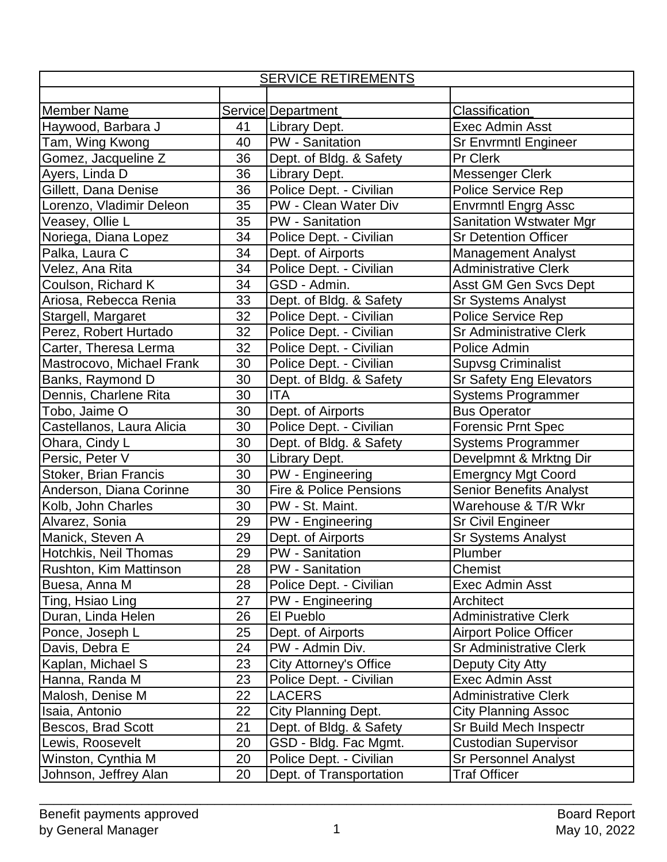| <b>SERVICE RETIREMENTS</b> |    |                                   |                                |  |  |
|----------------------------|----|-----------------------------------|--------------------------------|--|--|
|                            |    |                                   |                                |  |  |
| <b>Member Name</b>         |    | Service Department                | Classification                 |  |  |
| Haywood, Barbara J         | 41 | Library Dept.                     | <b>Exec Admin Asst</b>         |  |  |
| Tam, Wing Kwong            | 40 | <b>PW</b> - Sanitation            | <b>Sr Envrmntl Engineer</b>    |  |  |
| Gomez, Jacqueline Z        | 36 | Dept. of Bldg. & Safety           | Pr Clerk                       |  |  |
| Ayers, Linda D             | 36 | Library Dept.                     | Messenger Clerk                |  |  |
| Gillett, Dana Denise       | 36 | Police Dept. - Civilian           | Police Service Rep             |  |  |
| Lorenzo, Vladimir Deleon   | 35 | PW - Clean Water Div              | <b>Envrmntl Engrg Assc</b>     |  |  |
| Veasey, Ollie L            | 35 | <b>PW</b> - Sanitation            | <b>Sanitation Wstwater Mgr</b> |  |  |
| Noriega, Diana Lopez       | 34 | Police Dept. - Civilian           | <b>Sr Detention Officer</b>    |  |  |
| Palka, Laura C             | 34 | Dept. of Airports                 | <b>Management Analyst</b>      |  |  |
| Velez, Ana Rita            | 34 | Police Dept. - Civilian           | <b>Administrative Clerk</b>    |  |  |
| Coulson, Richard K         | 34 | GSD - Admin.                      | Asst GM Gen Svcs Dept          |  |  |
| Ariosa, Rebecca Renia      | 33 | Dept. of Bldg. & Safety           | <b>Sr Systems Analyst</b>      |  |  |
| Stargell, Margaret         | 32 | Police Dept. - Civilian           | Police Service Rep             |  |  |
| Perez, Robert Hurtado      | 32 | Police Dept. - Civilian           | <b>Sr Administrative Clerk</b> |  |  |
| Carter, Theresa Lerma      | 32 | Police Dept. - Civilian           | Police Admin                   |  |  |
| Mastrocovo, Michael Frank  | 30 | Police Dept. - Civilian           | <b>Supvsg Criminalist</b>      |  |  |
| Banks, Raymond D           | 30 | Dept. of Bldg. & Safety           | <b>Sr Safety Eng Elevators</b> |  |  |
| Dennis, Charlene Rita      | 30 | <b>ITA</b>                        | <b>Systems Programmer</b>      |  |  |
| Tobo, Jaime O              | 30 | Dept. of Airports                 | <b>Bus Operator</b>            |  |  |
| Castellanos, Laura Alicia  | 30 | Police Dept. - Civilian           | <b>Forensic Prnt Spec</b>      |  |  |
| Ohara, Cindy L             | 30 | Dept. of Bldg. & Safety           | <b>Systems Programmer</b>      |  |  |
| Persic, Peter V            | 30 | Library Dept.                     | Develpmnt & Mrktng Dir         |  |  |
| Stoker, Brian Francis      | 30 | PW - Engineering                  | <b>Emergncy Mgt Coord</b>      |  |  |
| Anderson, Diana Corinne    | 30 | <b>Fire &amp; Police Pensions</b> | <b>Senior Benefits Analyst</b> |  |  |
| Kolb, John Charles         | 30 | PW - St. Maint.                   | Warehouse & T/R Wkr            |  |  |
| Alvarez, Sonia             | 29 | <b>PW</b> - Engineering           | <b>Sr Civil Engineer</b>       |  |  |
| Manick, Steven A           | 29 | Dept. of Airports                 | Sr Systems Analyst             |  |  |
| Hotchkis, Neil Thomas      | 29 | PW - Sanitation                   | Plumber                        |  |  |
| Rushton, Kim Mattinson     | 28 | <b>PW</b> - Sanitation            | Chemist                        |  |  |
| Buesa, Anna M              | 28 | Police Dept. - Civilian           | <b>Exec Admin Asst</b>         |  |  |
| Ting, Hsiao Ling           | 27 | PW - Engineering                  | Architect                      |  |  |
| Duran, Linda Helen         | 26 | El Pueblo                         | <b>Administrative Clerk</b>    |  |  |
| Ponce, Joseph L            | 25 | Dept. of Airports                 | <b>Airport Police Officer</b>  |  |  |
| Davis, Debra E             | 24 | PW - Admin Div.                   | <b>Sr Administrative Clerk</b> |  |  |
| Kaplan, Michael S          | 23 | City Attorney's Office            | Deputy City Atty               |  |  |
| Hanna, Randa M             | 23 | Police Dept. - Civilian           | Exec Admin Asst                |  |  |
| Malosh, Denise M           | 22 | <b>LACERS</b>                     | <b>Administrative Clerk</b>    |  |  |
| Isaia, Antonio             | 22 | City Planning Dept.               | <b>City Planning Assoc</b>     |  |  |
| Bescos, Brad Scott         | 21 | Dept. of Bldg. & Safety           | Sr Build Mech Inspectr         |  |  |
| Lewis, Roosevelt           | 20 | GSD - Bldg. Fac Mgmt.             | <b>Custodian Supervisor</b>    |  |  |
| Winston, Cynthia M         | 20 | Police Dept. - Civilian           | <b>Sr Personnel Analyst</b>    |  |  |
| Johnson, Jeffrey Alan      | 20 | Dept. of Transportation           | <b>Traf Officer</b>            |  |  |

\_\_\_\_\_\_\_\_\_\_\_\_\_\_\_\_\_\_\_\_\_\_\_\_\_\_\_\_\_\_\_\_\_\_\_\_\_\_\_\_\_\_\_\_\_\_\_\_\_\_\_\_\_\_\_\_\_\_\_\_\_\_\_\_\_\_\_\_\_\_\_\_\_\_\_\_\_\_\_\_\_